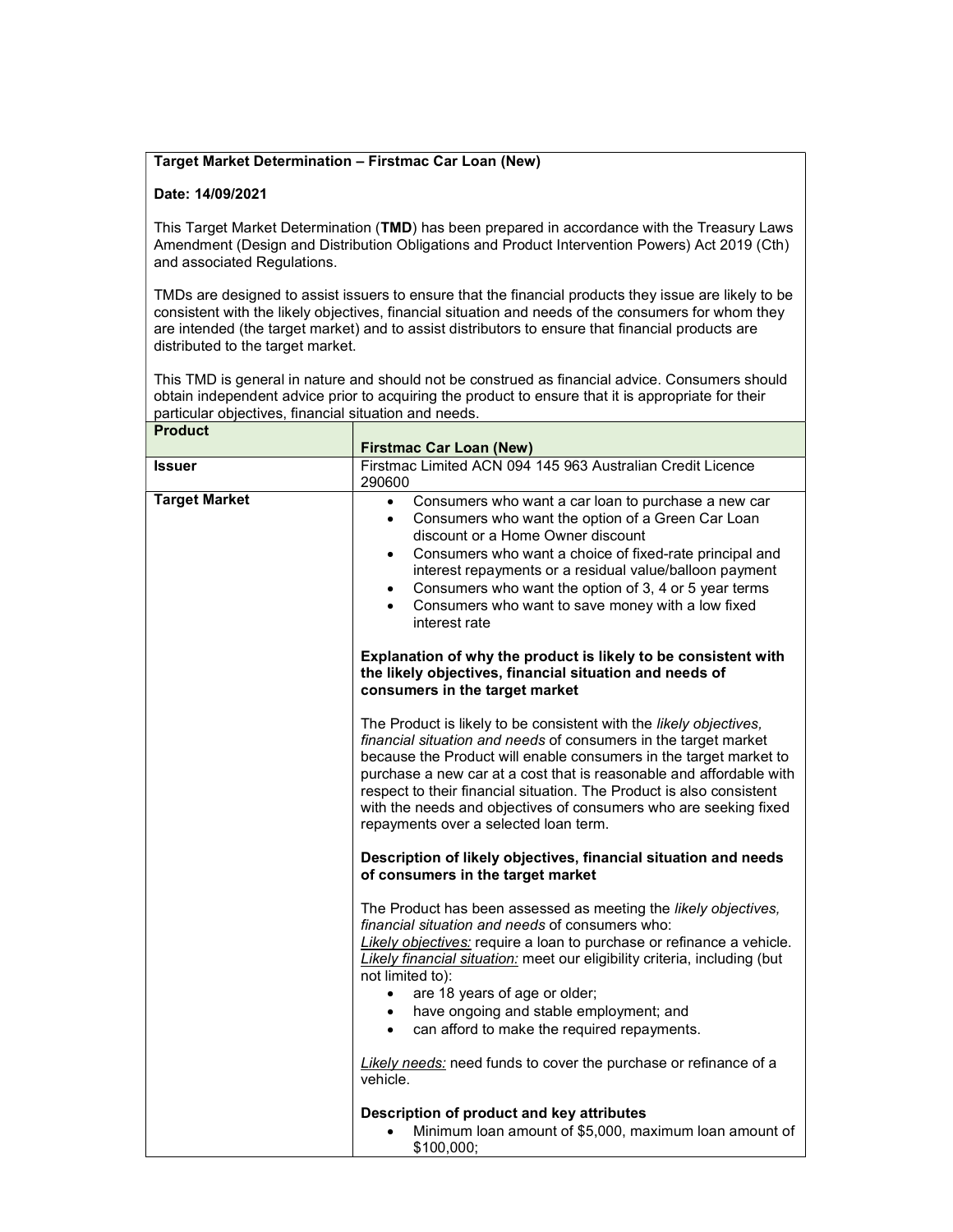## Target Market Determination – Firstmac Car Loan (New)

## Date: 14/09/2021

This Target Market Determination (TMD) has been prepared in accordance with the Treasury Laws Amendment (Design and Distribution Obligations and Product Intervention Powers) Act 2019 (Cth) and associated Regulations.

TMDs are designed to assist issuers to ensure that the financial products they issue are likely to be consistent with the likely objectives, financial situation and needs of the consumers for whom they are intended (the target market) and to assist distributors to ensure that financial products are distributed to the target market.

This TMD is general in nature and should not be construed as financial advice. Consumers should obtain independent advice prior to acquiring the product to ensure that it is appropriate for their particular objectives, financial situation and needs.  $P_{\text{read} \ldots A}$ 

| rrouuct              | <b>Firstmac Car Loan (New)</b>                                                                                                                                                                                                                                                                                                                                                                                                                                         |
|----------------------|------------------------------------------------------------------------------------------------------------------------------------------------------------------------------------------------------------------------------------------------------------------------------------------------------------------------------------------------------------------------------------------------------------------------------------------------------------------------|
| <b>Issuer</b>        | Firstmac Limited ACN 094 145 963 Australian Credit Licence<br>290600                                                                                                                                                                                                                                                                                                                                                                                                   |
| <b>Target Market</b> | Consumers who want a car loan to purchase a new car<br>$\bullet$<br>Consumers who want the option of a Green Car Loan<br>discount or a Home Owner discount<br>Consumers who want a choice of fixed-rate principal and<br>$\bullet$<br>interest repayments or a residual value/balloon payment<br>Consumers who want the option of 3, 4 or 5 year terms<br>$\bullet$<br>Consumers who want to save money with a low fixed<br>interest rate                              |
|                      | Explanation of why the product is likely to be consistent with<br>the likely objectives, financial situation and needs of<br>consumers in the target market                                                                                                                                                                                                                                                                                                            |
|                      | The Product is likely to be consistent with the likely objectives,<br>financial situation and needs of consumers in the target market<br>because the Product will enable consumers in the target market to<br>purchase a new car at a cost that is reasonable and affordable with<br>respect to their financial situation. The Product is also consistent<br>with the needs and objectives of consumers who are seeking fixed<br>repayments over a selected loan term. |
|                      | Description of likely objectives, financial situation and needs<br>of consumers in the target market                                                                                                                                                                                                                                                                                                                                                                   |
|                      | The Product has been assessed as meeting the likely objectives,<br>financial situation and needs of consumers who:<br>Likely objectives: require a loan to purchase or refinance a vehicle.<br>Likely financial situation: meet our eligibility criteria, including (but<br>not limited to):<br>are 18 years of age or older;<br>$\bullet$<br>have ongoing and stable employment; and<br>can afford to make the required repayments.<br>$\bullet$                      |
|                      | Likely needs: need funds to cover the purchase or refinance of a<br>vehicle.                                                                                                                                                                                                                                                                                                                                                                                           |
|                      | Description of product and key attributes<br>Minimum loan amount of \$5,000, maximum loan amount of<br>\$100,000;                                                                                                                                                                                                                                                                                                                                                      |